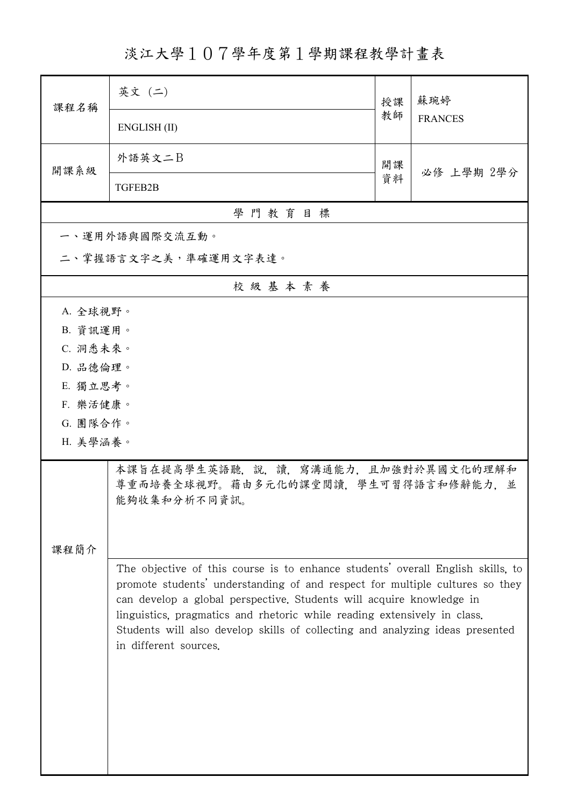淡江大學107學年度第1學期課程教學計畫表

| 課程名稱                                                                                                                                                                                                                                                                                                                                                                                                                          | 英文 (二)                                                                                     | 授課 | 蘇琬婷<br><b>FRANCES</b> |  |  |  |  |
|-------------------------------------------------------------------------------------------------------------------------------------------------------------------------------------------------------------------------------------------------------------------------------------------------------------------------------------------------------------------------------------------------------------------------------|--------------------------------------------------------------------------------------------|----|-----------------------|--|--|--|--|
|                                                                                                                                                                                                                                                                                                                                                                                                                               | ENGLISH (II)                                                                               | 教師 |                       |  |  |  |  |
| 開課系級                                                                                                                                                                                                                                                                                                                                                                                                                          | 外語英文二B                                                                                     | 開課 | 必修 上學期 2學分            |  |  |  |  |
|                                                                                                                                                                                                                                                                                                                                                                                                                               | TGFEB2B                                                                                    | 資料 |                       |  |  |  |  |
|                                                                                                                                                                                                                                                                                                                                                                                                                               | 學門教育目標                                                                                     |    |                       |  |  |  |  |
|                                                                                                                                                                                                                                                                                                                                                                                                                               | 一、運用外語與國際交流互動。                                                                             |    |                       |  |  |  |  |
|                                                                                                                                                                                                                                                                                                                                                                                                                               | 二、掌握語言文字之美,準確運用文字表達。                                                                       |    |                       |  |  |  |  |
|                                                                                                                                                                                                                                                                                                                                                                                                                               | 校級基本素養                                                                                     |    |                       |  |  |  |  |
| A. 全球視野。                                                                                                                                                                                                                                                                                                                                                                                                                      |                                                                                            |    |                       |  |  |  |  |
| B. 資訊運用。                                                                                                                                                                                                                                                                                                                                                                                                                      |                                                                                            |    |                       |  |  |  |  |
| C. 洞悉未來。                                                                                                                                                                                                                                                                                                                                                                                                                      |                                                                                            |    |                       |  |  |  |  |
| D. 品德倫理。                                                                                                                                                                                                                                                                                                                                                                                                                      |                                                                                            |    |                       |  |  |  |  |
| E. 獨立思考。                                                                                                                                                                                                                                                                                                                                                                                                                      |                                                                                            |    |                       |  |  |  |  |
| F. 樂活健康。                                                                                                                                                                                                                                                                                                                                                                                                                      |                                                                                            |    |                       |  |  |  |  |
| G. 團隊合作。<br>H. 美學涵養。                                                                                                                                                                                                                                                                                                                                                                                                          |                                                                                            |    |                       |  |  |  |  |
|                                                                                                                                                                                                                                                                                                                                                                                                                               |                                                                                            |    |                       |  |  |  |  |
|                                                                                                                                                                                                                                                                                                                                                                                                                               | 本課旨在提高學生英語聽,說,讀,寫溝通能力,且加強對於異國文化的理解和<br>尊重而培養全球視野。藉由多元化的課堂閱讀,學生可習得語言和修辭能力,並<br>能夠收集和分析不同資訊。 |    |                       |  |  |  |  |
|                                                                                                                                                                                                                                                                                                                                                                                                                               |                                                                                            |    |                       |  |  |  |  |
| 課程簡介                                                                                                                                                                                                                                                                                                                                                                                                                          |                                                                                            |    |                       |  |  |  |  |
| The objective of this course is to enhance students' overall English skills, to<br>promote students' understanding of and respect for multiple cultures so they<br>can develop a global perspective. Students will acquire knowledge in<br>linguistics, pragmatics and rhetoric while reading extensively in class.<br>Students will also develop skills of collecting and analyzing ideas presented<br>in different sources. |                                                                                            |    |                       |  |  |  |  |
|                                                                                                                                                                                                                                                                                                                                                                                                                               |                                                                                            |    |                       |  |  |  |  |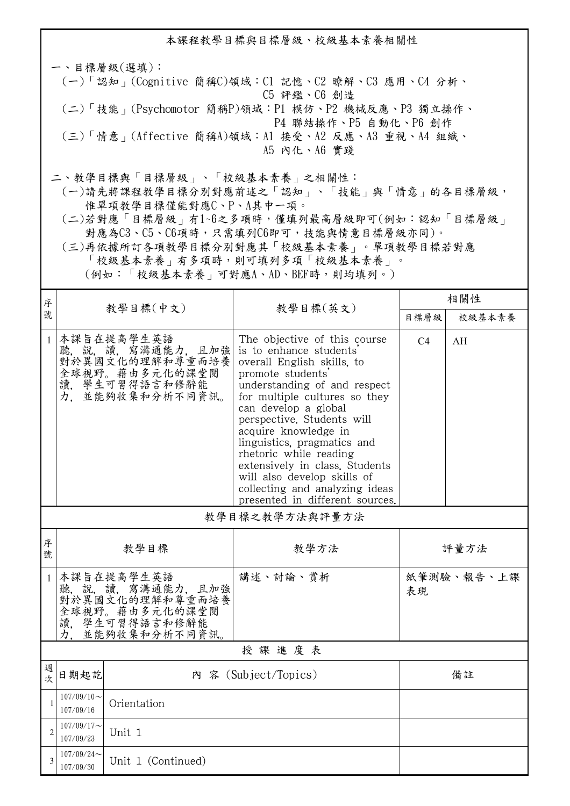本課程教學目標與目標層級、校級基本素養相關性 一、目標層級(選填): (一)「認知」(Cognitive 簡稱C)領域:C1 記憶、C2 瞭解、C3 應用、C4 分析、 C5 評鑑、C6 創造 (二)「技能」(Psychomotor 簡稱P)領域:P1 模仿、P2 機械反應、P3 獨立操作、 P4 聯結操作、P5 自動化、P6 創作 (三)「情意」(Affective 簡稱A)領域:A1 接受、A2 反應、A3 重視、A4 組織、 A5 內化、A6 實踐 二、教學目標與「目標層級」、「校級基本素養」之相關性:

 (一)請先將課程教學目標分別對應前述之「認知」、「技能」與「情意」的各目標層級, 惟單項教學目標僅能對應C、P、A其中一項。

 (二)若對應「目標層級」有1~6之多項時,僅填列最高層級即可(例如:認知「目標層級」 對應為C3、C5、C6項時,只需填列C6即可,技能與情意目標層級亦同)。

 (三)再依據所訂各項教學目標分別對應其「校級基本素養」。單項教學目標若對應 「校級基本素養」有多項時,則可填列多項「校級基本素養」。

(例如:「校級基本素養」可對應A、AD、BEF時,則均填列。)

| 序            |                                                                                                                |                                                                                                          |                                                                                                                                                                                                                                                                                                                                                                                                                                                          | 相關性            |            |  |  |  |
|--------------|----------------------------------------------------------------------------------------------------------------|----------------------------------------------------------------------------------------------------------|----------------------------------------------------------------------------------------------------------------------------------------------------------------------------------------------------------------------------------------------------------------------------------------------------------------------------------------------------------------------------------------------------------------------------------------------------------|----------------|------------|--|--|--|
| 號            |                                                                                                                | 教學目標(中文)                                                                                                 | 教學目標(英文)                                                                                                                                                                                                                                                                                                                                                                                                                                                 | 目標層級           | 校級基本素養     |  |  |  |
| $\mathbf{1}$ | 力.                                                                                                             | 本課旨在提高學生英語<br>聽, 說, 讀, 寫溝通能力, 且加強<br>對於異國文化的理解和尊重而培養<br>全球視野。藉由多元化的課堂閲<br>讀,學生可習得語言和修辭能<br>並能夠收集和分析不同資訊。 | The objective of this course<br>is to enhance students'<br>overall English skills, to<br>promote students'<br>understanding of and respect<br>for multiple cultures so they<br>can develop a global<br>perspective. Students will<br>acquire knowledge in<br>linguistics, pragmatics and<br>rhetoric while reading<br>extensively in class. Students<br>will also develop skills of<br>collecting and analyzing ideas<br>presented in different sources. | C <sub>4</sub> | AH         |  |  |  |
|              | 教學目標之教學方法與評量方法                                                                                                 |                                                                                                          |                                                                                                                                                                                                                                                                                                                                                                                                                                                          |                |            |  |  |  |
| 序<br>號       | 教學目標<br>教學方法                                                                                                   |                                                                                                          |                                                                                                                                                                                                                                                                                                                                                                                                                                                          | 評量方法           |            |  |  |  |
| $\mathbf{1}$ | 本課旨在提高學生英語<br>聽, 說, 讀, 寫溝通能力, 且加強<br>對於異國文化的理解和尊重而培養<br>全球視野。藉由多元化的課堂閲<br>讀、學生可習得語言和修辭能<br>力.<br>並能夠收集和分析不同資訊。 |                                                                                                          | 講述、討論、賞析                                                                                                                                                                                                                                                                                                                                                                                                                                                 | 表現             | 紙筆測驗、報告、上課 |  |  |  |
|              | 授課進度表                                                                                                          |                                                                                                          |                                                                                                                                                                                                                                                                                                                                                                                                                                                          |                |            |  |  |  |
| 週<br>次       | 日期起訖<br>內 容 (Subject/Topics)                                                                                   |                                                                                                          | 備註                                                                                                                                                                                                                                                                                                                                                                                                                                                       |                |            |  |  |  |
| 1            | $107/09/10$ ~<br>Orientation<br>107/09/16                                                                      |                                                                                                          |                                                                                                                                                                                                                                                                                                                                                                                                                                                          |                |            |  |  |  |
|              | $107/09/17$ ~<br>107/09/23                                                                                     | Unit 1                                                                                                   |                                                                                                                                                                                                                                                                                                                                                                                                                                                          |                |            |  |  |  |
| 3            | $107/09/24$ ~<br>107/09/30                                                                                     | Unit 1 (Continued)                                                                                       |                                                                                                                                                                                                                                                                                                                                                                                                                                                          |                |            |  |  |  |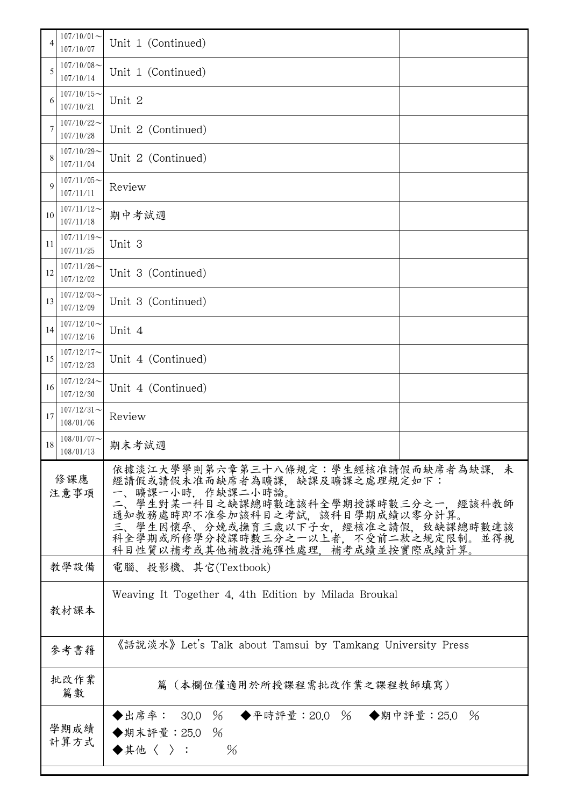| 4           | $107/10/01$ ~<br>107/10/07 | Unit 1 (Continued)                                                                                                                                                                                                                                                                                      |  |  |
|-------------|----------------------------|---------------------------------------------------------------------------------------------------------------------------------------------------------------------------------------------------------------------------------------------------------------------------------------------------------|--|--|
| 5           | $107/10/08$ ~<br>107/10/14 | Unit 1 (Continued)                                                                                                                                                                                                                                                                                      |  |  |
| 6           | $107/10/15$ ~<br>107/10/21 | Unit 2                                                                                                                                                                                                                                                                                                  |  |  |
| 7           | $107/10/22$ ~<br>107/10/28 | Unit 2 (Continued)                                                                                                                                                                                                                                                                                      |  |  |
| 8           | $107/10/29$ ~<br>107/11/04 | Unit 2 (Continued)                                                                                                                                                                                                                                                                                      |  |  |
| 9           | $107/11/05$ ~<br>107/11/11 | Review                                                                                                                                                                                                                                                                                                  |  |  |
| 10          | $107/11/12$ ~<br>107/11/18 | 期中考試週                                                                                                                                                                                                                                                                                                   |  |  |
| 11          | $107/11/19$ ~<br>107/11/25 | Unit 3                                                                                                                                                                                                                                                                                                  |  |  |
| 12          | $107/11/26$ ~<br>107/12/02 | Unit 3 (Continued)                                                                                                                                                                                                                                                                                      |  |  |
| 13          | $107/12/03$ ~<br>107/12/09 | Unit 3 (Continued)                                                                                                                                                                                                                                                                                      |  |  |
| 14          | $107/12/10$ ~<br>107/12/16 | Unit 4                                                                                                                                                                                                                                                                                                  |  |  |
| 15          | $107/12/17$ ~<br>107/12/23 | Unit 4 (Continued)                                                                                                                                                                                                                                                                                      |  |  |
| 16          | $107/12/24$ ~<br>107/12/30 | Unit 4 (Continued)                                                                                                                                                                                                                                                                                      |  |  |
| 17          | $107/12/31$ ~<br>108/01/06 | Review                                                                                                                                                                                                                                                                                                  |  |  |
| 18          | $108/01/07$ ~<br>108/01/13 | 期末考試週                                                                                                                                                                                                                                                                                                   |  |  |
| 修課應<br>注意事項 |                            | 依據淡江大學學則第六章第三十八條規定:學生經核准請假而缺席者為缺課,未<br>經請假或請假未准而缺席者為曠課、缺課及曠課之處理規定如下:<br>一、曠課一小時,作缺課二小時論。<br>1、 <sup>。</sup><br>三、學生對某一科目之缺課總時數達該科全學期授課時數三分之一,經該科教師<br>通知教務處時即不准參加該科目之考試,該科目學期成績以零分計算。<br>三、學生因懷孕、分娩或撫育三歲以下子女,經核准之請假,致缺課總時數達該<br>科全學期或所修學分授課時數三分之一以上者,不受前二款之規定限制。並得視<br>科目性質以補考或其他補救措施彈性處理,補考成績並按實際成績計算。 |  |  |
|             | 教學設備                       | 電腦、投影機、其它(Textbook)                                                                                                                                                                                                                                                                                     |  |  |
|             | 教材課本                       | Weaving It Together 4, 4th Edition by Milada Broukal                                                                                                                                                                                                                                                    |  |  |
|             | 參考書籍                       | 《話說淡水》 Let's Talk about Tamsui by Tamkang University Press                                                                                                                                                                                                                                              |  |  |
|             | 批改作業<br>篇數                 | 篇(本欄位僅適用於所授課程需批改作業之課程教師填寫)                                                                                                                                                                                                                                                                              |  |  |
|             | 學期成績<br>計算方式               | ◆出席率: 30.0 % ◆平時評量:20.0 % ◆期中評量:25.0<br>$\frac{0}{6}$<br>◆期末評量: 25.0 %<br>$\frac{0}{6}$<br>◆其他〈 〉:                                                                                                                                                                                                      |  |  |